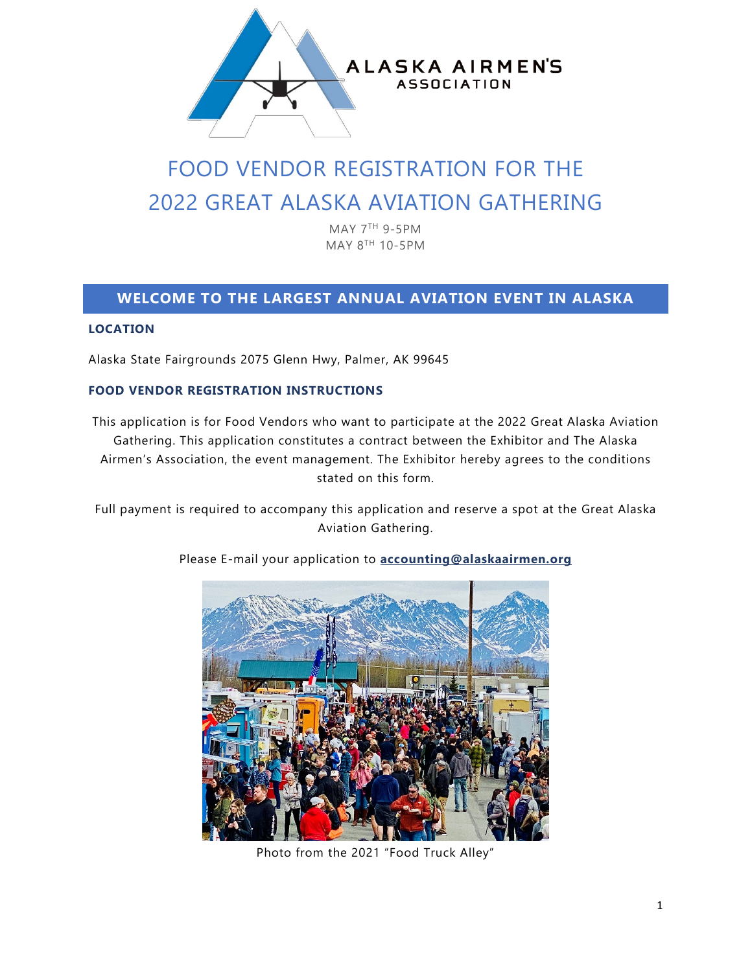

# FOOD VENDOR REGISTRATION FOR THE 2022 GREAT ALASKA AVIATION GATHERING

MAY 7TH 9-5PM MAY 8TH 10-5PM

### **WELCOME TO THE LARGEST ANNUAL AVIATION EVENT IN ALASKA**

### **LOCATION**

Alaska State Fairgrounds 2075 Glenn Hwy, Palmer, AK 99645

### **FOOD VENDOR REGISTRATION INSTRUCTIONS**

This application is for Food Vendors who want to participate at the 2022 Great Alaska Aviation Gathering. This application constitutes a contract between the Exhibitor and The Alaska Airmen's Association, the event management. The Exhibitor hereby agrees to the conditions stated on this form.

Full payment is required to accompany this application and reserve a spot at the Great Alaska Aviation Gathering.



Please E-mail your application to **accounting@alaskaairmen.org**

Photo from the 2021 "Food Truck Alley"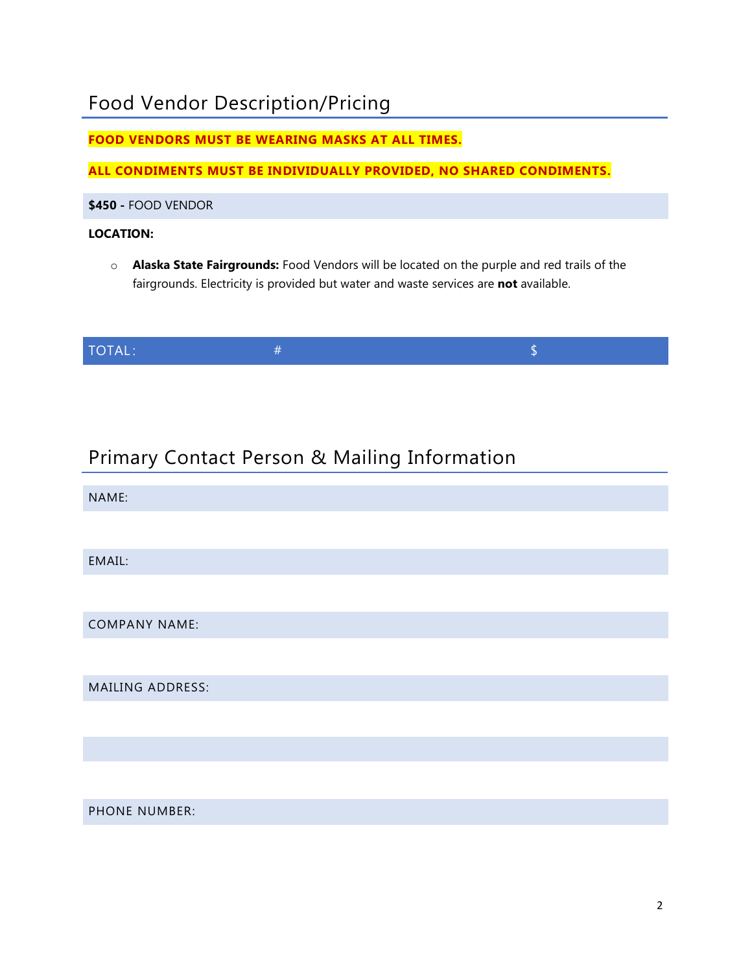## Food Vendor Description/Pricing

**FOOD VENDORS MUST BE WEARING MASKS AT ALL TIMES.**

**ALL CONDIMENTS MUST BE INDIVIDUALLY PROVIDED, NO SHARED CONDIMENTS.**

**\$450 -** FOOD VENDOR

### **LOCATION:**

o **Alaska State Fairgrounds:** Food Vendors will be located on the purple and red trails of the fairgrounds. Electricity is provided but water and waste services are **not** available.

| <b>TOTAL:</b> |  |
|---------------|--|

# Primary Contact Person & Mailing Information

| NAME:                   |
|-------------------------|
|                         |
| EMAIL:                  |
|                         |
| <b>COMPANY NAME:</b>    |
|                         |
| <b>MAILING ADDRESS:</b> |
|                         |
|                         |
|                         |
| <b>PHONE NUMBER:</b>    |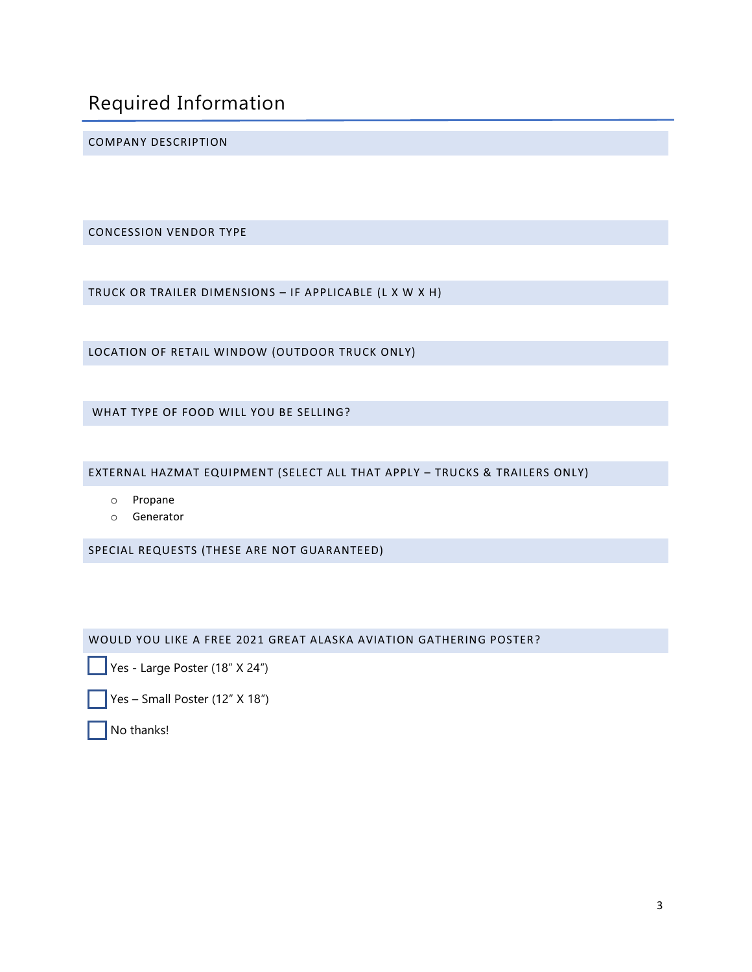# Required Information

COMPANY DESCRIPTION

CONCESSION VENDOR TYPE

TRUCK OR TRAILER DIMENSIONS – IF APPLICABLE (L X W X H)

LOCATION OF RETAIL WINDOW (OUTDOOR TRUCK ONLY)

WHAT TYPE OF FOOD WILL YOU BE SELLING?

EXTERNAL HAZMAT EQUIPMENT (SELECT ALL THAT APPLY – TRUCKS & TRAILERS ONLY)

- o Propane
- o Generator

SPECIAL REQUESTS (THESE ARE NOT GUARANTEED)

WOULD YOU LIKE A FREE 2021 GREAT ALASKA AVIATION GATHERING POSTER?

Yes - Large Poster (18" X 24")

Yes – Small Poster (12" X 18")

No thanks!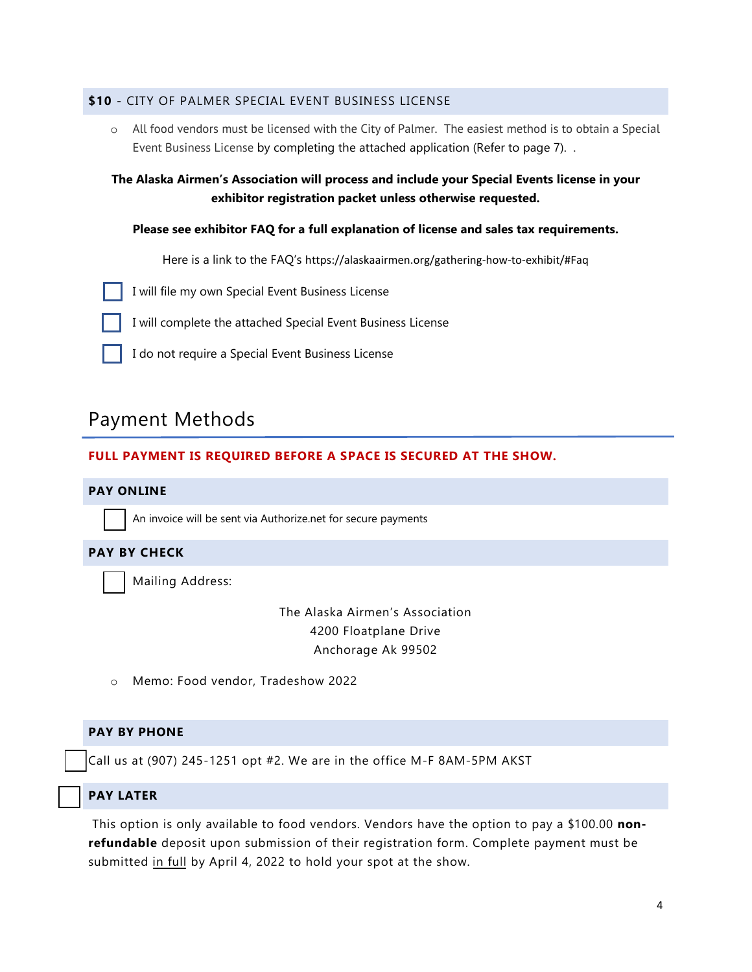### **\$10** - CITY OF PALMER SPECIAL EVENT BUSINESS LICENSE

o All food vendors must be licensed with the City of Palmer. The easiest method is to obtain a Special Event Business License by completing the attached application (Refer to page 7). .

**The Alaska Airmen's Association will process and include your Special Events license in your exhibitor registration packet unless otherwise requested.**

### **Please see exhibitor FAQ for a full explanation of license and sales tax requirements.**

Here is a link to the FAQ's https://alaskaairmen.org/gathering-how-to-exhibit/#Faq

- I will file my own Special Event Business License
- I will complete the attached Special Event Business License
- I do not require a Special Event Business License

### Payment Methods

### **FULL PAYMENT IS REQUIRED BEFORE A SPACE IS SECURED AT THE SHOW.**

### **PAY ONLINE**

An invoice will be sent via Authorize.net for secure payments

### **PAY BY CHECK**

| ┃ |  |  |  |
|---|--|--|--|
|   |  |  |  |
|   |  |  |  |

Mailing Address:

The Alaska Airmen's Association 4200 Floatplane Drive Anchorage Ak 99502

o Memo: Food vendor, Tradeshow 2022

### **PAY BY PHONE**

Call us at (907) 245-1251 opt #2. We are in the office M-F 8AM-5PM AKST

### **PAY LATER**

This option is only available to food vendors. Vendors have the option to pay a \$100.00 **nonrefundable** deposit upon submission of their registration form. Complete payment must be submitted in full by April 4, 2022 to hold your spot at the show.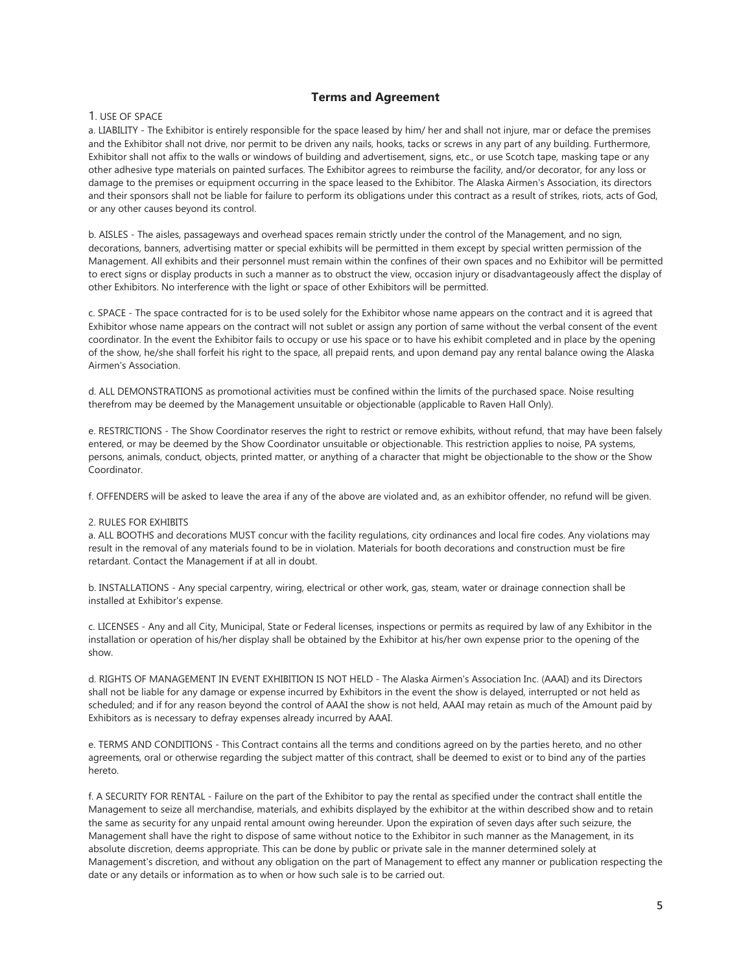#### **Terms and Agreement**

#### 1. USE OF SPACE

a. LIABILITY - The Exhibitor is entirely responsible for the space leased by him/ her and shall not injure, mar or deface the premises and the Exhibitor shall not drive, nor permit to be driven any nails, hooks, tacks or screws in any part of any building. Furthermore, Exhibitor shall not affix to the walls or windows of building and advertisement, signs, etc., or use Scotch tape, masking tape or any other adhesive type materials on painted surfaces. The Exhibitor agrees to reimburse the facility, and/or decorator, for any loss or damage to the premises or equipment occurring in the space leased to the Exhibitor. The Alaska Airmen's Association, its directors and their sponsors shall not be liable for failure to perform its obligations under this contract as a result of strikes, riots, acts of God, or any other causes beyond its control.

b. AISLES - The aisles, passageways and overhead spaces remain strictly under the control of the Management, and no sign, decorations, banners, advertising matter or special exhibits will be permitted in them except by special written permission of the Management. All exhibits and their personnel must remain within the confines of their own spaces and no Exhibitor will be permitted to erect signs or display products in such a manner as to obstruct the view, occasion injury or disadvantageously affect the display of other Exhibitors. No interference with the light or space of other Exhibitors will be permitted.

c. SPACE - The space contracted for is to be used solely for the Exhibitor whose name appears on the contract and it is agreed that Exhibitor whose name appears on the contract will not sublet or assign any portion of same without the verbal consent of the event coordinator. In the event the Exhibitor fails to occupy or use his space or to have his exhibit completed and in place by the opening of the show, he/she shall forfeit his right to the space, all prepaid rents, and upon demand pay any rental balance owing the Alaska Airmen's Association.

d. ALL DEMONSTRATIONS as promotional activities must be confined within the limits of the purchased space. Noise resulting therefrom may be deemed by the Management unsuitable or objectionable (applicable to Raven Hall Only).

e. RESTRICTIONS - The Show Coordinator reserves the right to restrict or remove exhibits, without refund, that may have been falsely entered, or may be deemed by the Show Coordinator unsuitable or objectionable. This restriction applies to noise, PA systems, persons, animals, conduct, objects, printed matter, or anything of a character that might be objectionable to the show or the Show Coordinator.

f. OFFENDERS will be asked to leave the area if any of the above are violated and, as an exhibitor offender, no refund will be given.

#### 2. RULES FOR EXHIBITS

a. ALL BOOTHS and decorations MUST concur with the facility regulations, city ordinances and local fire codes. Any violations may result in the removal of any materials found to be in violation. Materials for booth decorations and construction must be fire retardant. Contact the Management if at all in doubt.

b. INSTALLATIONS - Any special carpentry, wiring, electrical or other work, gas, steam, water or drainage connection shall be installed at Exhibitor's expense.

c. LICENSES - Any and all City, Municipal, State or Federal licenses, inspections or permits as required by law of any Exhibitor in the installation or operation of his/her display shall be obtained by the Exhibitor at his/her own expense prior to the opening of the show.

d. RIGHTS OF MANAGEMENT IN EVENT EXHIBITION IS NOT HELD - The Alaska Airmen's Association Inc. (AAAI) and its Directors shall not be liable for any damage or expense incurred by Exhibitors in the event the show is delayed, interrupted or not held as scheduled; and if for any reason beyond the control of AAAI the show is not held, AAAI may retain as much of the Amount paid by Exhibitors as is necessary to defray expenses already incurred by AAAI.

e. TERMS AND CONDITIONS - This Contract contains all the terms and conditions agreed on by the parties hereto, and no other agreements, oral or otherwise regarding the subject matter of this contract, shall be deemed to exist or to bind any of the parties hereto.

f. A SECURITY FOR RENTAL - Failure on the part of the Exhibitor to pay the rental as specified under the contract shall entitle the Management to seize all merchandise, materials, and exhibits displayed by the exhibitor at the within described show and to retain the same as security for any unpaid rental amount owing hereunder. Upon the expiration of seven days after such seizure, the Management shall have the right to dispose of same without notice to the Exhibitor in such manner as the Management, in its absolute discretion, deems appropriate. This can be done by public or private sale in the manner determined solely at Management's discretion, and without any obligation on the part of Management to effect any manner or publication respecting the date or any details or information as to when or how such sale is to be carried out.